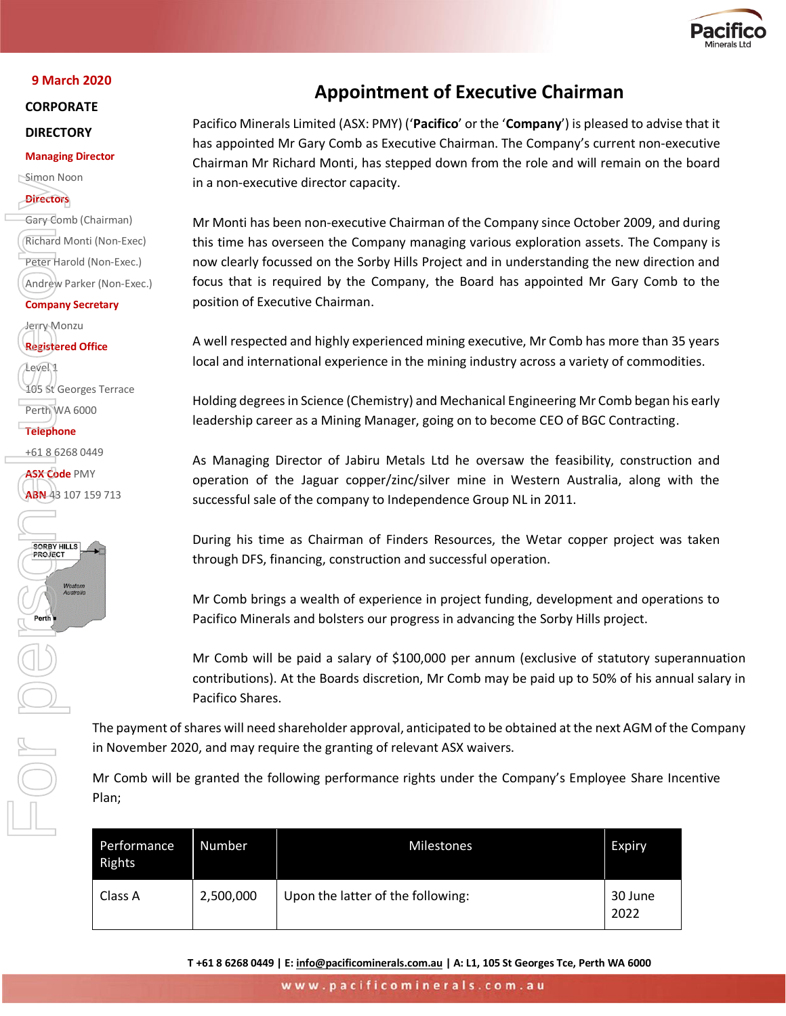

#### **9 March 2020**

**CORPORATE** 

## **DIRECTORY**

### **Managing Director**

Simon Noon

## **Directors**

Gary Comb (Chairman) Richard Monti (Non-Exec) Peter Harold (Non-Exec.) Andrew Parker (Non-Exec.) **Company Secretary**

Jerry Monzu **Registered Office**

Level 1 105 St Georges Terrace Perth WA 6000

**Telephone**

+61 8 6268 0449

**ASX Code** PMY ABN 43 107 159 713



# **Appointment of Executive Chairman**

Pacifico Minerals Limited (ASX: PMY) ('**Pacifico**' or the '**Company**') is pleased to advise that it has appointed Mr Gary Comb as Executive Chairman. The Company's current non-executive Chairman Mr Richard Monti, has stepped down from the role and will remain on the board in a non-executive director capacity.

Mr Monti has been non-executive Chairman of the Company since October 2009, and during this time has overseen the Company managing various exploration assets. The Company is now clearly focussed on the Sorby Hills Project and in understanding the new direction and focus that is required by the Company, the Board has appointed Mr Gary Comb to the position of Executive Chairman.

A well respected and highly experienced mining executive, Mr Comb has more than 35 years local and international experience in the mining industry across a variety of commodities.

Holding degrees in Science (Chemistry) and Mechanical Engineering Mr Comb began his early leadership career as a Mining Manager, going on to become CEO of BGC Contracting.

As Managing Director of Jabiru Metals Ltd he oversaw the feasibility, construction and operation of the Jaguar copper/zinc/silver mine in Western Australia, along with the successful sale of the company to Independence Group NL in 2011.

During his time as Chairman of Finders Resources, the Wetar copper project was taken through DFS, financing, construction and successful operation.

Mr Comb brings a wealth of experience in project funding, development and operations to Pacifico Minerals and bolsters our progress in advancing the Sorby Hills project.

Mr Comb will be paid a salary of \$100,000 per annum (exclusive of statutory superannuation contributions). At the Boards discretion, Mr Comb may be paid up to 50% of his annual salary in Pacifico Shares.

The payment of shares will need shareholder approval, anticipated to be obtained at the next AGM of the Company in November 2020, and may require the granting of relevant ASX waivers.

Mr Comb will be granted the following performance rights under the Company's Employee Share Incentive Plan;

| Performance<br>Rights | Number    | <b>Milestones</b>                 | <b>Expiry</b>   |
|-----------------------|-----------|-----------------------------------|-----------------|
| Class A               | 2,500,000 | Upon the latter of the following: | 30 June<br>2022 |

**T +61 8 6268 0449 | E[: info@pacificominerals.com.au](mailto:info@pacificominerals.com.au) | A: L1, 105 St Georges Tce, Perth WA 6000**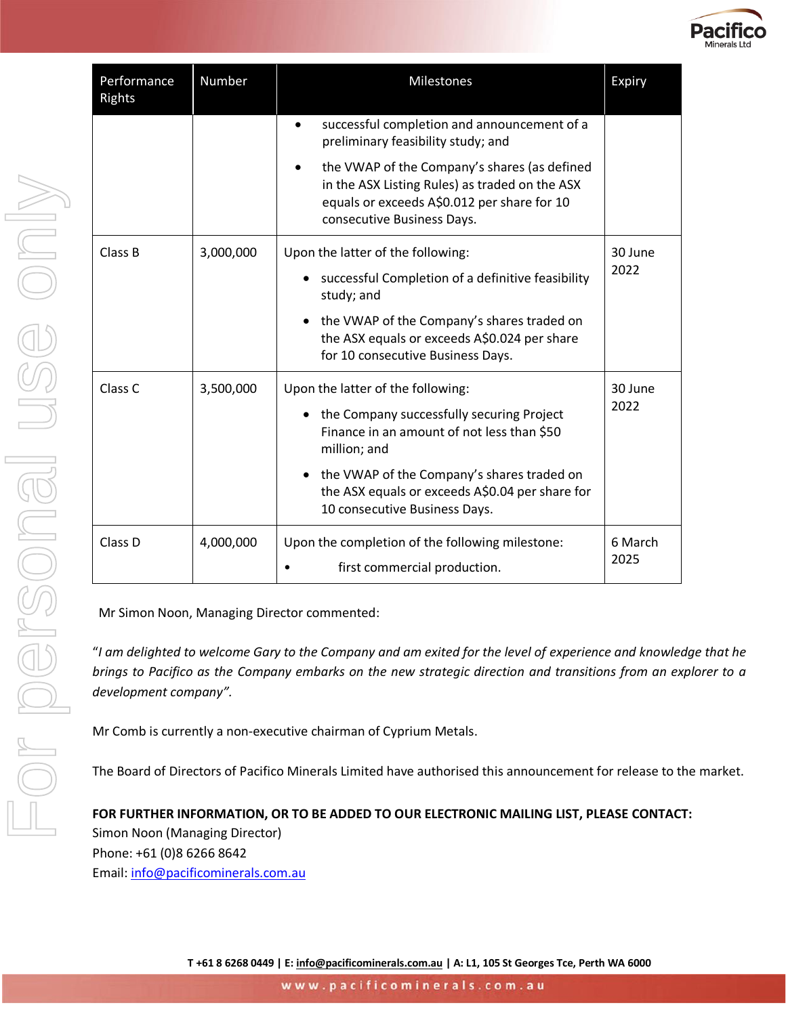

| Performance<br>Rights | Number    | <b>Milestones</b>                                                                                                                                                           | Expiry          |
|-----------------------|-----------|-----------------------------------------------------------------------------------------------------------------------------------------------------------------------------|-----------------|
|                       |           | successful completion and announcement of a<br>$\bullet$<br>preliminary feasibility study; and                                                                              |                 |
|                       |           | the VWAP of the Company's shares (as defined<br>in the ASX Listing Rules) as traded on the ASX<br>equals or exceeds A\$0.012 per share for 10<br>consecutive Business Days. |                 |
| Class B               | 3,000,000 | Upon the latter of the following:                                                                                                                                           | 30 June<br>2022 |
|                       |           | successful Completion of a definitive feasibility<br>study; and                                                                                                             |                 |
|                       |           | the VWAP of the Company's shares traded on<br>the ASX equals or exceeds A\$0.024 per share<br>for 10 consecutive Business Days.                                             |                 |
| Class <sub>C</sub>    | 3,500,000 | Upon the latter of the following:<br>the Company successfully securing Project<br>Finance in an amount of not less than \$50<br>million; and                                | 30 June<br>2022 |
|                       |           | the VWAP of the Company's shares traded on<br>the ASX equals or exceeds A\$0.04 per share for<br>10 consecutive Business Days.                                              |                 |
| Class D               | 4,000,000 | Upon the completion of the following milestone:<br>first commercial production.                                                                                             | 6 March<br>2025 |

Mr Simon Noon, Managing Director commented:

"*I am delighted to welcome Gary to the Company and am exited for the level of experience and knowledge that he brings to Pacifico as the Company embarks on the new strategic direction and transitions from an explorer to a development company".* 

Mr Comb is currently a non-executive chairman of Cyprium Metals.

The Board of Directors of Pacifico Minerals Limited have authorised this announcement for release to the market.

**FOR FURTHER INFORMATION, OR TO BE ADDED TO OUR ELECTRONIC MAILING LIST, PLEASE CONTACT:** Simon Noon (Managing Director) Phone: +61 (0)8 6266 8642 Email: [info@pacificominerals.com.au](mailto:info@pacificominerals.com.au)

**T +61 8 6268 0449 | E[: info@pacificominerals.com.au](mailto:info@pacificominerals.com.au) | A: L1, 105 St Georges Tce, Perth WA 6000**